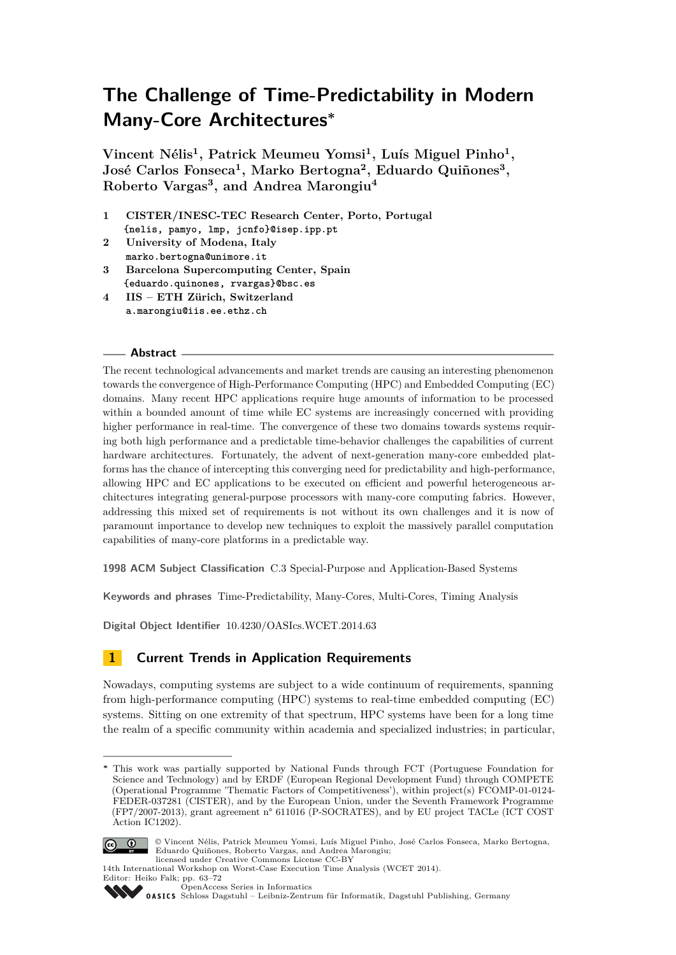**Vincent Nélis<sup>1</sup> , Patrick Meumeu Yomsi<sup>1</sup> , Luís Miguel Pinho<sup>1</sup> , José Carlos Fonseca<sup>1</sup> , Marko Bertogna<sup>2</sup> , Eduardo Quiñones<sup>3</sup> , Roberto Vargas<sup>3</sup> , and Andrea Marongiu<sup>4</sup>**

- **1 CISTER/INESC-TEC Research Center, Porto, Portugal {nelis, pamyo, lmp, jcnfo}@isep.ipp.pt**
- **2 University of Modena, Italy marko.bertogna@unimore.it**
- **3 Barcelona Supercomputing Center, Spain {eduardo.quinones, rvargas}@bsc.es**
- **4 IIS ETH Zürich, Switzerland a.marongiu@iis.ee.ethz.ch**

#### **Abstract**

The recent technological advancements and market trends are causing an interesting phenomenon towards the convergence of High-Performance Computing (HPC) and Embedded Computing (EC) domains. Many recent HPC applications require huge amounts of information to be processed within a bounded amount of time while EC systems are increasingly concerned with providing higher performance in real-time. The convergence of these two domains towards systems requiring both high performance and a predictable time-behavior challenges the capabilities of current hardware architectures. Fortunately, the advent of next-generation many-core embedded platforms has the chance of intercepting this converging need for predictability and high-performance, allowing HPC and EC applications to be executed on efficient and powerful heterogeneous architectures integrating general-purpose processors with many-core computing fabrics. However, addressing this mixed set of requirements is not without its own challenges and it is now of paramount importance to develop new techniques to exploit the massively parallel computation capabilities of many-core platforms in a predictable way.

**1998 ACM Subject Classification** C.3 Special-Purpose and Application-Based Systems

**Keywords and phrases** Time-Predictability, Many-Cores, Multi-Cores, Timing Analysis

**Digital Object Identifier** [10.4230/OASIcs.WCET.2014.63](http://dx.doi.org/10.4230/OASIcs.WCET.2014.63)

# **1 Current Trends in Application Requirements**

Nowadays, computing systems are subject to a wide continuum of requirements, spanning from high-performance computing (HPC) systems to real-time embedded computing (EC) systems. Sitting on one extremity of that spectrum, HPC systems have been for a long time the realm of a specific community within academia and specialized industries; in particular,

**<sup>∗</sup>** This work was partially supported by National Funds through FCT (Portuguese Foundation for Science and Technology) and by ERDF (European Regional Development Fund) through COMPETE (Operational Programme 'Thematic Factors of Competitiveness'), within project(s) FCOMP-01-0124- FEDER-037281 (CISTER), and by the European Union, under the Seventh Framework Programme (FP7/2007-2013), grant agreement n° 611016 (P-SOCRATES), and by EU project TACLe (ICT COST Action IC1202).



© Vincent Nélis, Patrick Meumeu Yomsi, Luís Miguel Pinho, José Carlos Fonseca, Marko Bertogna, Eduardo Quiñones, Roberto Vargas, and Andrea Marongiu;

licensed under Creative Commons License CC-BY





[OpenAccess Series in Informatics](http://www.dagstuhl.de/oasics/)

OASICS [Schloss Dagstuhl – Leibniz-Zentrum für Informatik, Dagstuhl Publishing, Germany](http://www.dagstuhl.de/)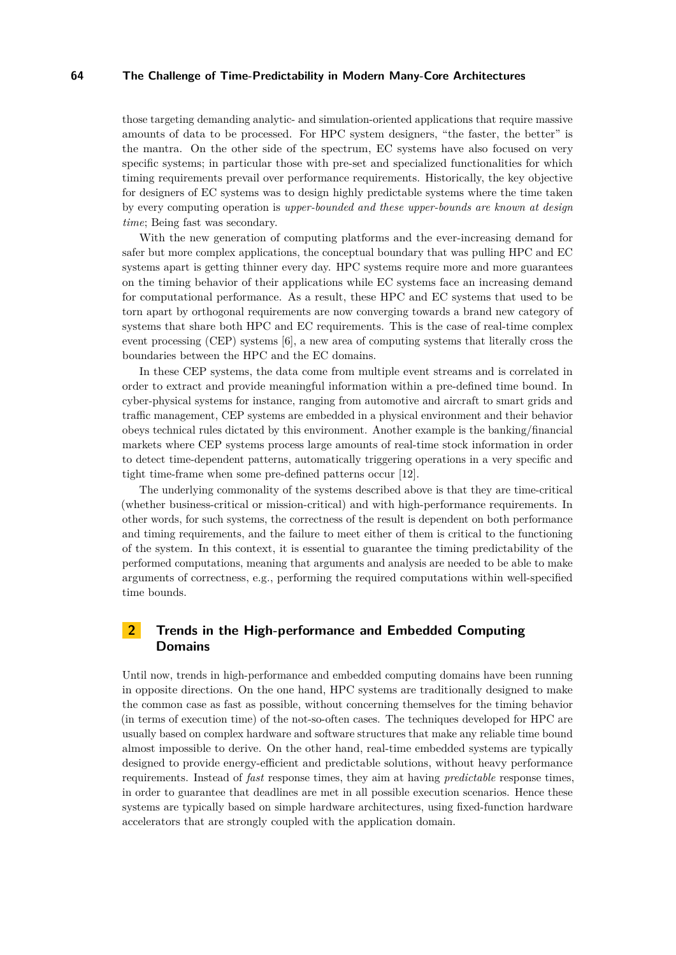those targeting demanding analytic- and simulation-oriented applications that require massive amounts of data to be processed. For HPC system designers, "the faster, the better" is the mantra. On the other side of the spectrum, EC systems have also focused on very specific systems; in particular those with pre-set and specialized functionalities for which timing requirements prevail over performance requirements. Historically, the key objective for designers of EC systems was to design highly predictable systems where the time taken by every computing operation is *upper-bounded and these upper-bounds are known at design time*; Being fast was secondary.

With the new generation of computing platforms and the ever-increasing demand for safer but more complex applications, the conceptual boundary that was pulling HPC and EC systems apart is getting thinner every day. HPC systems require more and more guarantees on the timing behavior of their applications while EC systems face an increasing demand for computational performance. As a result, these HPC and EC systems that used to be torn apart by orthogonal requirements are now converging towards a brand new category of systems that share both HPC and EC requirements. This is the case of real-time complex event processing (CEP) systems [\[6\]](#page-9-1), a new area of computing systems that literally cross the boundaries between the HPC and the EC domains.

In these CEP systems, the data come from multiple event streams and is correlated in order to extract and provide meaningful information within a pre-defined time bound. In cyber-physical systems for instance, ranging from automotive and aircraft to smart grids and traffic management, CEP systems are embedded in a physical environment and their behavior obeys technical rules dictated by this environment. Another example is the banking/financial markets where CEP systems process large amounts of real-time stock information in order to detect time-dependent patterns, automatically triggering operations in a very specific and tight time-frame when some pre-defined patterns occur [\[12\]](#page-9-2).

The underlying commonality of the systems described above is that they are time-critical (whether business-critical or mission-critical) and with high-performance requirements. In other words, for such systems, the correctness of the result is dependent on both performance and timing requirements, and the failure to meet either of them is critical to the functioning of the system. In this context, it is essential to guarantee the timing predictability of the performed computations, meaning that arguments and analysis are needed to be able to make arguments of correctness, e.g., performing the required computations within well-specified time bounds.

# **2 Trends in the High-performance and Embedded Computing Domains**

Until now, trends in high-performance and embedded computing domains have been running in opposite directions. On the one hand, HPC systems are traditionally designed to make the common case as fast as possible, without concerning themselves for the timing behavior (in terms of execution time) of the not-so-often cases. The techniques developed for HPC are usually based on complex hardware and software structures that make any reliable time bound almost impossible to derive. On the other hand, real-time embedded systems are typically designed to provide energy-efficient and predictable solutions, without heavy performance requirements. Instead of *fast* response times, they aim at having *predictable* response times, in order to guarantee that deadlines are met in all possible execution scenarios. Hence these systems are typically based on simple hardware architectures, using fixed-function hardware accelerators that are strongly coupled with the application domain.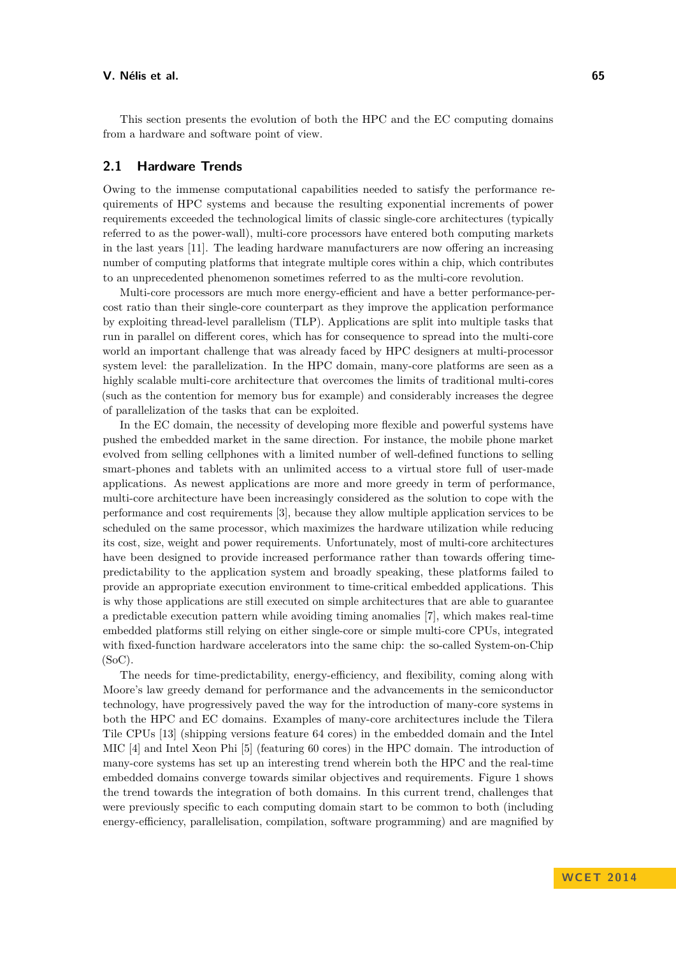This section presents the evolution of both the HPC and the EC computing domains from a hardware and software point of view.

## **2.1 Hardware Trends**

Owing to the immense computational capabilities needed to satisfy the performance requirements of HPC systems and because the resulting exponential increments of power requirements exceeded the technological limits of classic single-core architectures (typically referred to as the power-wall), multi-core processors have entered both computing markets in the last years [\[11\]](#page-9-3). The leading hardware manufacturers are now offering an increasing number of computing platforms that integrate multiple cores within a chip, which contributes to an unprecedented phenomenon sometimes referred to as the multi-core revolution.

Multi-core processors are much more energy-efficient and have a better performance-percost ratio than their single-core counterpart as they improve the application performance by exploiting thread-level parallelism (TLP). Applications are split into multiple tasks that run in parallel on different cores, which has for consequence to spread into the multi-core world an important challenge that was already faced by HPC designers at multi-processor system level: the parallelization. In the HPC domain, many-core platforms are seen as a highly scalable multi-core architecture that overcomes the limits of traditional multi-cores (such as the contention for memory bus for example) and considerably increases the degree of parallelization of the tasks that can be exploited.

In the EC domain, the necessity of developing more flexible and powerful systems have pushed the embedded market in the same direction. For instance, the mobile phone market evolved from selling cellphones with a limited number of well-defined functions to selling smart-phones and tablets with an unlimited access to a virtual store full of user-made applications. As newest applications are more and more greedy in term of performance, multi-core architecture have been increasingly considered as the solution to cope with the performance and cost requirements [\[3\]](#page-9-4), because they allow multiple application services to be scheduled on the same processor, which maximizes the hardware utilization while reducing its cost, size, weight and power requirements. Unfortunately, most of multi-core architectures have been designed to provide increased performance rather than towards offering timepredictability to the application system and broadly speaking, these platforms failed to provide an appropriate execution environment to time-critical embedded applications. This is why those applications are still executed on simple architectures that are able to guarantee a predictable execution pattern while avoiding timing anomalies [\[7\]](#page-9-5), which makes real-time embedded platforms still relying on either single-core or simple multi-core CPUs, integrated with fixed-function hardware accelerators into the same chip: the so-called System-on-Chip (SoC).

The needs for time-predictability, energy-efficiency, and flexibility, coming along with Moore's law greedy demand for performance and the advancements in the semiconductor technology, have progressively paved the way for the introduction of many-core systems in both the HPC and EC domains. Examples of many-core architectures include the Tilera Tile CPUs [\[13\]](#page-9-6) (shipping versions feature 64 cores) in the embedded domain and the Intel MIC [\[4\]](#page-9-7) and Intel Xeon Phi [\[5\]](#page-9-8) (featuring 60 cores) in the HPC domain. The introduction of many-core systems has set up an interesting trend wherein both the HPC and the real-time embedded domains converge towards similar objectives and requirements. Figure [1](#page-3-0) shows the trend towards the integration of both domains. In this current trend, challenges that were previously specific to each computing domain start to be common to both (including energy-efficiency, parallelisation, compilation, software programming) and are magnified by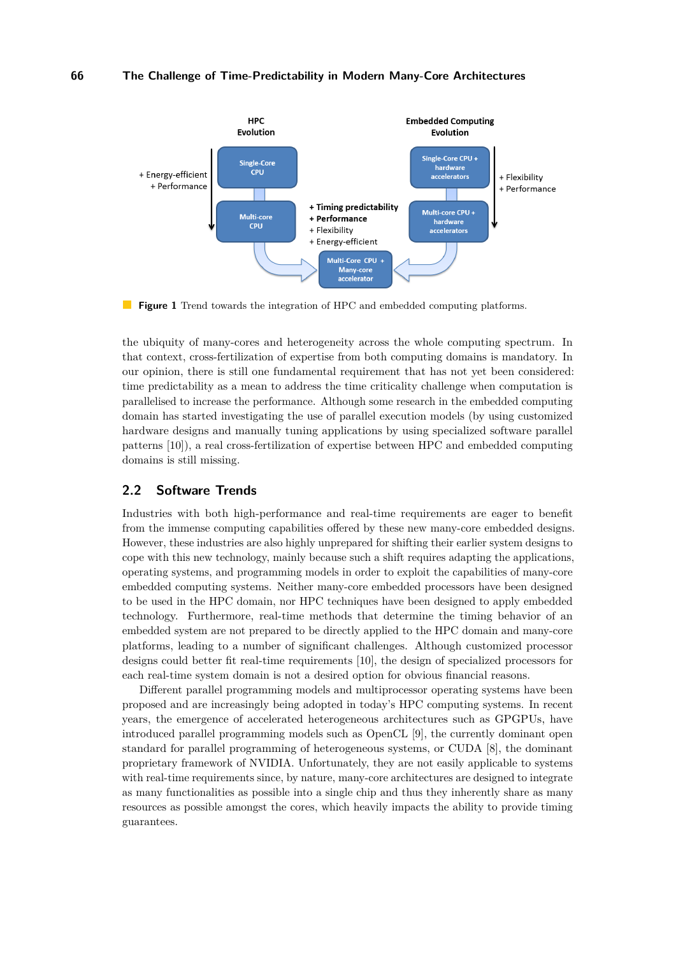<span id="page-3-0"></span>

 $\blacksquare$ **Figure 1** Trend towards the integration of HPC and embedded computing platforms.

the ubiquity of many-cores and heterogeneity across the whole computing spectrum. In that context, cross-fertilization of expertise from both computing domains is mandatory. In our opinion, there is still one fundamental requirement that has not yet been considered: time predictability as a mean to address the time criticality challenge when computation is parallelised to increase the performance. Although some research in the embedded computing domain has started investigating the use of parallel execution models (by using customized hardware designs and manually tuning applications by using specialized software parallel patterns [\[10\]](#page-9-9)), a real cross-fertilization of expertise between HPC and embedded computing domains is still missing.

## **2.2 Software Trends**

Industries with both high-performance and real-time requirements are eager to benefit from the immense computing capabilities offered by these new many-core embedded designs. However, these industries are also highly unprepared for shifting their earlier system designs to cope with this new technology, mainly because such a shift requires adapting the applications, operating systems, and programming models in order to exploit the capabilities of many-core embedded computing systems. Neither many-core embedded processors have been designed to be used in the HPC domain, nor HPC techniques have been designed to apply embedded technology. Furthermore, real-time methods that determine the timing behavior of an embedded system are not prepared to be directly applied to the HPC domain and many-core platforms, leading to a number of significant challenges. Although customized processor designs could better fit real-time requirements [\[10\]](#page-9-9), the design of specialized processors for each real-time system domain is not a desired option for obvious financial reasons.

Different parallel programming models and multiprocessor operating systems have been proposed and are increasingly being adopted in today's HPC computing systems. In recent years, the emergence of accelerated heterogeneous architectures such as GPGPUs, have introduced parallel programming models such as OpenCL [\[9\]](#page-9-10), the currently dominant open standard for parallel programming of heterogeneous systems, or CUDA [\[8\]](#page-9-11), the dominant proprietary framework of NVIDIA. Unfortunately, they are not easily applicable to systems with real-time requirements since, by nature, many-core architectures are designed to integrate as many functionalities as possible into a single chip and thus they inherently share as many resources as possible amongst the cores, which heavily impacts the ability to provide timing guarantees.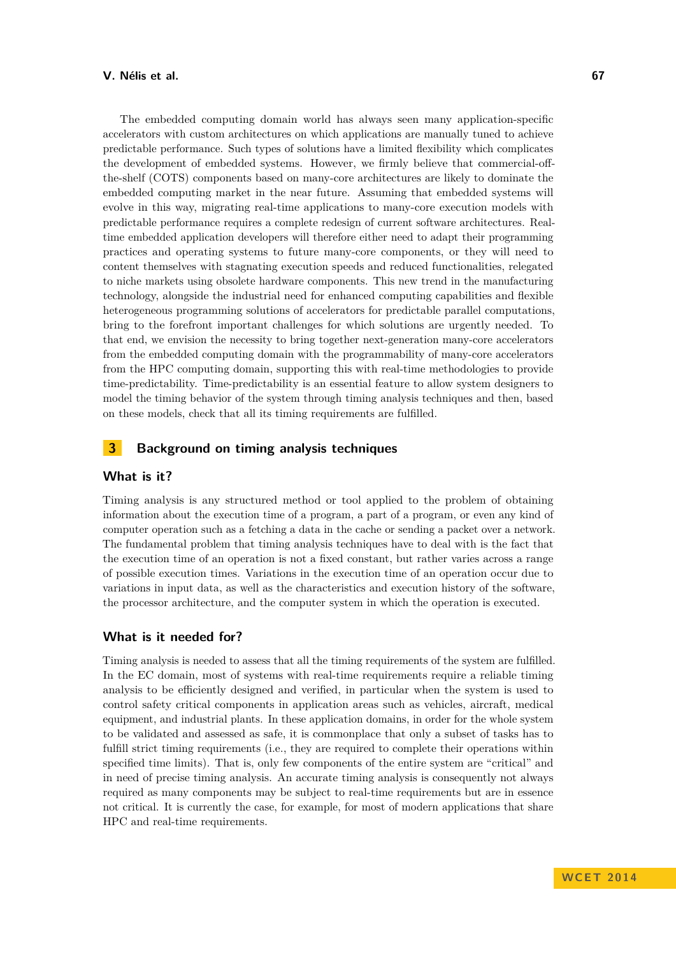#### **V. Nélis et al. 67**

The embedded computing domain world has always seen many application-specific accelerators with custom architectures on which applications are manually tuned to achieve predictable performance. Such types of solutions have a limited flexibility which complicates the development of embedded systems. However, we firmly believe that commercial-offthe-shelf (COTS) components based on many-core architectures are likely to dominate the embedded computing market in the near future. Assuming that embedded systems will evolve in this way, migrating real-time applications to many-core execution models with predictable performance requires a complete redesign of current software architectures. Realtime embedded application developers will therefore either need to adapt their programming practices and operating systems to future many-core components, or they will need to content themselves with stagnating execution speeds and reduced functionalities, relegated to niche markets using obsolete hardware components. This new trend in the manufacturing technology, alongside the industrial need for enhanced computing capabilities and flexible heterogeneous programming solutions of accelerators for predictable parallel computations, bring to the forefront important challenges for which solutions are urgently needed. To that end, we envision the necessity to bring together next-generation many-core accelerators from the embedded computing domain with the programmability of many-core accelerators from the HPC computing domain, supporting this with real-time methodologies to provide time-predictability. Time-predictability is an essential feature to allow system designers to model the timing behavior of the system through timing analysis techniques and then, based on these models, check that all its timing requirements are fulfilled.

# **3 Background on timing analysis techniques**

#### **What is it?**

Timing analysis is any structured method or tool applied to the problem of obtaining information about the execution time of a program, a part of a program, or even any kind of computer operation such as a fetching a data in the cache or sending a packet over a network. The fundamental problem that timing analysis techniques have to deal with is the fact that the execution time of an operation is not a fixed constant, but rather varies across a range of possible execution times. Variations in the execution time of an operation occur due to variations in input data, as well as the characteristics and execution history of the software, the processor architecture, and the computer system in which the operation is executed.

#### **What is it needed for?**

Timing analysis is needed to assess that all the timing requirements of the system are fulfilled. In the EC domain, most of systems with real-time requirements require a reliable timing analysis to be efficiently designed and verified, in particular when the system is used to control safety critical components in application areas such as vehicles, aircraft, medical equipment, and industrial plants. In these application domains, in order for the whole system to be validated and assessed as safe, it is commonplace that only a subset of tasks has to fulfill strict timing requirements (i.e., they are required to complete their operations within specified time limits). That is, only few components of the entire system are "critical" and in need of precise timing analysis. An accurate timing analysis is consequently not always required as many components may be subject to real-time requirements but are in essence not critical. It is currently the case, for example, for most of modern applications that share HPC and real-time requirements.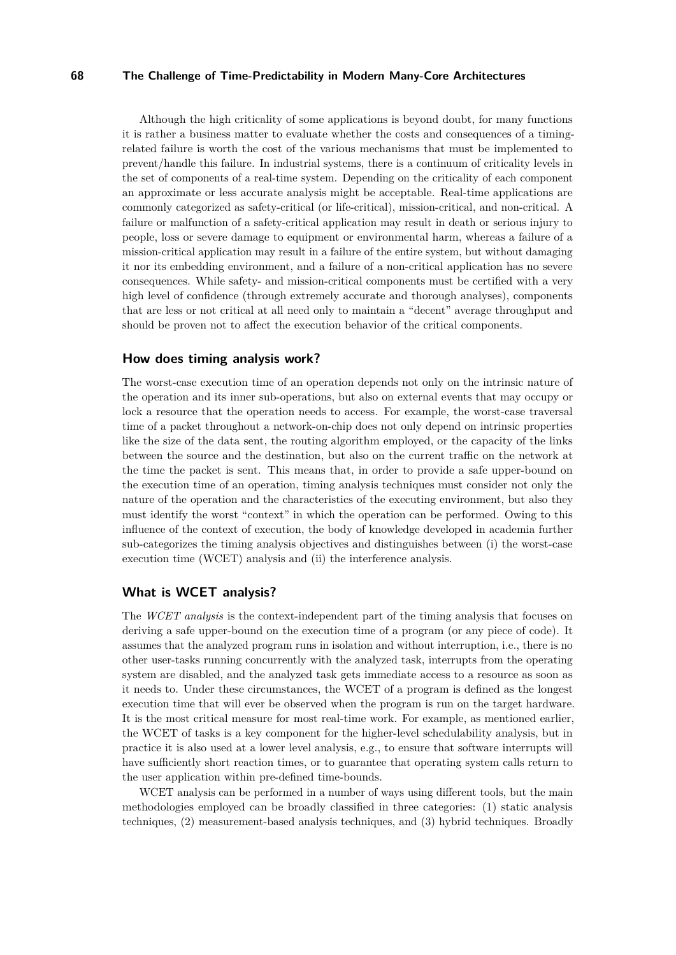Although the high criticality of some applications is beyond doubt, for many functions it is rather a business matter to evaluate whether the costs and consequences of a timingrelated failure is worth the cost of the various mechanisms that must be implemented to prevent/handle this failure. In industrial systems, there is a continuum of criticality levels in the set of components of a real-time system. Depending on the criticality of each component an approximate or less accurate analysis might be acceptable. Real-time applications are commonly categorized as safety-critical (or life-critical), mission-critical, and non-critical. A failure or malfunction of a safety-critical application may result in death or serious injury to people, loss or severe damage to equipment or environmental harm, whereas a failure of a mission-critical application may result in a failure of the entire system, but without damaging it nor its embedding environment, and a failure of a non-critical application has no severe consequences. While safety- and mission-critical components must be certified with a very high level of confidence (through extremely accurate and thorough analyses), components that are less or not critical at all need only to maintain a "decent" average throughput and should be proven not to affect the execution behavior of the critical components.

#### **How does timing analysis work?**

The worst-case execution time of an operation depends not only on the intrinsic nature of the operation and its inner sub-operations, but also on external events that may occupy or lock a resource that the operation needs to access. For example, the worst-case traversal time of a packet throughout a network-on-chip does not only depend on intrinsic properties like the size of the data sent, the routing algorithm employed, or the capacity of the links between the source and the destination, but also on the current traffic on the network at the time the packet is sent. This means that, in order to provide a safe upper-bound on the execution time of an operation, timing analysis techniques must consider not only the nature of the operation and the characteristics of the executing environment, but also they must identify the worst "context" in which the operation can be performed. Owing to this influence of the context of execution, the body of knowledge developed in academia further sub-categorizes the timing analysis objectives and distinguishes between (i) the worst-case execution time (WCET) analysis and (ii) the interference analysis.

## **What is WCET analysis?**

The *WCET analysis* is the context-independent part of the timing analysis that focuses on deriving a safe upper-bound on the execution time of a program (or any piece of code). It assumes that the analyzed program runs in isolation and without interruption, i.e., there is no other user-tasks running concurrently with the analyzed task, interrupts from the operating system are disabled, and the analyzed task gets immediate access to a resource as soon as it needs to. Under these circumstances, the WCET of a program is defined as the longest execution time that will ever be observed when the program is run on the target hardware. It is the most critical measure for most real-time work. For example, as mentioned earlier, the WCET of tasks is a key component for the higher-level schedulability analysis, but in practice it is also used at a lower level analysis, e.g., to ensure that software interrupts will have sufficiently short reaction times, or to guarantee that operating system calls return to the user application within pre-defined time-bounds.

WCET analysis can be performed in a number of ways using different tools, but the main methodologies employed can be broadly classified in three categories: (1) static analysis techniques, (2) measurement-based analysis techniques, and (3) hybrid techniques. Broadly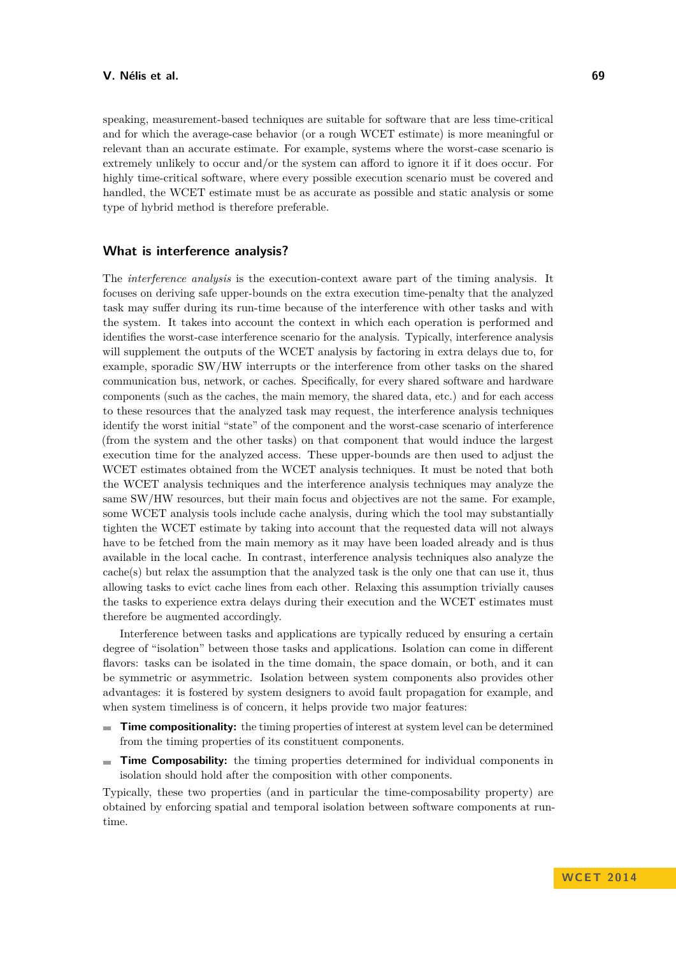speaking, measurement-based techniques are suitable for software that are less time-critical and for which the average-case behavior (or a rough WCET estimate) is more meaningful or relevant than an accurate estimate. For example, systems where the worst-case scenario is extremely unlikely to occur and/or the system can afford to ignore it if it does occur. For highly time-critical software, where every possible execution scenario must be covered and handled, the WCET estimate must be as accurate as possible and static analysis or some type of hybrid method is therefore preferable.

## **What is interference analysis?**

The *interference analysis* is the execution-context aware part of the timing analysis. It focuses on deriving safe upper-bounds on the extra execution time-penalty that the analyzed task may suffer during its run-time because of the interference with other tasks and with the system. It takes into account the context in which each operation is performed and identifies the worst-case interference scenario for the analysis. Typically, interference analysis will supplement the outputs of the WCET analysis by factoring in extra delays due to, for example, sporadic SW/HW interrupts or the interference from other tasks on the shared communication bus, network, or caches. Specifically, for every shared software and hardware components (such as the caches, the main memory, the shared data, etc.) and for each access to these resources that the analyzed task may request, the interference analysis techniques identify the worst initial "state" of the component and the worst-case scenario of interference (from the system and the other tasks) on that component that would induce the largest execution time for the analyzed access. These upper-bounds are then used to adjust the WCET estimates obtained from the WCET analysis techniques. It must be noted that both the WCET analysis techniques and the interference analysis techniques may analyze the same SW/HW resources, but their main focus and objectives are not the same. For example, some WCET analysis tools include cache analysis, during which the tool may substantially tighten the WCET estimate by taking into account that the requested data will not always have to be fetched from the main memory as it may have been loaded already and is thus available in the local cache. In contrast, interference analysis techniques also analyze the cache(s) but relax the assumption that the analyzed task is the only one that can use it, thus allowing tasks to evict cache lines from each other. Relaxing this assumption trivially causes the tasks to experience extra delays during their execution and the WCET estimates must therefore be augmented accordingly.

Interference between tasks and applications are typically reduced by ensuring a certain degree of "isolation" between those tasks and applications. Isolation can come in different flavors: tasks can be isolated in the time domain, the space domain, or both, and it can be symmetric or asymmetric. Isolation between system components also provides other advantages: it is fostered by system designers to avoid fault propagation for example, and when system timeliness is of concern, it helps provide two major features:

- **Time compositionality:** the timing properties of interest at system level can be determined from the timing properties of its constituent components.
- $\blacksquare$ **Time Composability:** the timing properties determined for individual components in isolation should hold after the composition with other components.

Typically, these two properties (and in particular the time-composability property) are obtained by enforcing spatial and temporal isolation between software components at runtime.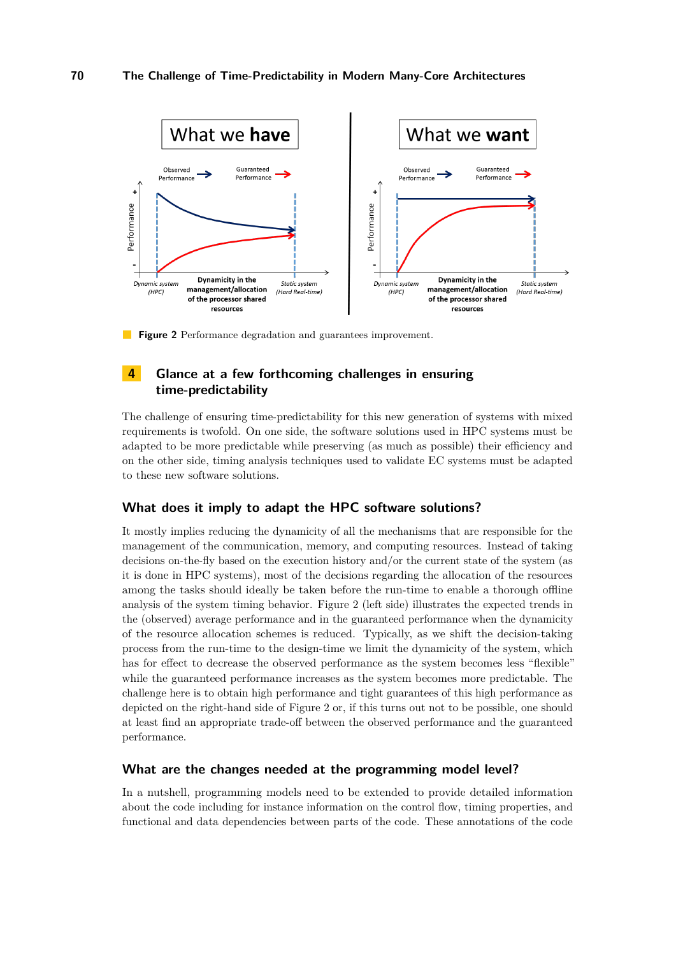<span id="page-7-0"></span>

**Figure 2** Performance degradation and guarantees improvement.

# **4 Glance at a few forthcoming challenges in ensuring time-predictability**

The challenge of ensuring time-predictability for this new generation of systems with mixed requirements is twofold. On one side, the software solutions used in HPC systems must be adapted to be more predictable while preserving (as much as possible) their efficiency and on the other side, timing analysis techniques used to validate EC systems must be adapted to these new software solutions.

#### **What does it imply to adapt the HPC software solutions?**

It mostly implies reducing the dynamicity of all the mechanisms that are responsible for the management of the communication, memory, and computing resources. Instead of taking decisions on-the-fly based on the execution history and/or the current state of the system (as it is done in HPC systems), most of the decisions regarding the allocation of the resources among the tasks should ideally be taken before the run-time to enable a thorough offline analysis of the system timing behavior. Figure [2](#page-7-0) (left side) illustrates the expected trends in the (observed) average performance and in the guaranteed performance when the dynamicity of the resource allocation schemes is reduced. Typically, as we shift the decision-taking process from the run-time to the design-time we limit the dynamicity of the system, which has for effect to decrease the observed performance as the system becomes less "flexible" while the guaranteed performance increases as the system becomes more predictable. The challenge here is to obtain high performance and tight guarantees of this high performance as depicted on the right-hand side of Figure [2](#page-7-0) or, if this turns out not to be possible, one should at least find an appropriate trade-off between the observed performance and the guaranteed performance.

#### **What are the changes needed at the programming model level?**

In a nutshell, programming models need to be extended to provide detailed information about the code including for instance information on the control flow, timing properties, and functional and data dependencies between parts of the code. These annotations of the code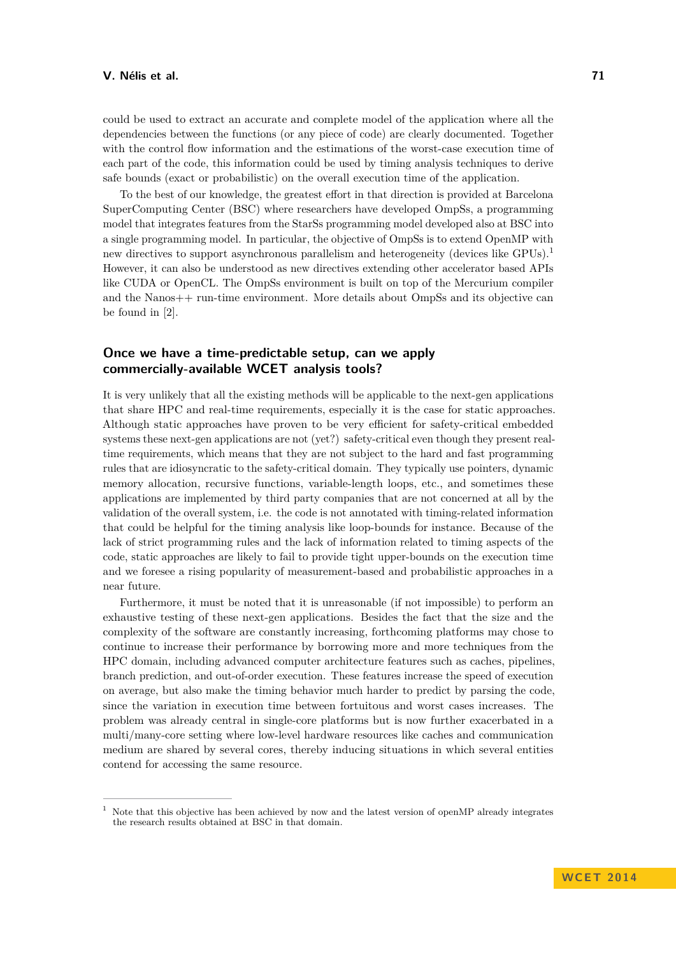could be used to extract an accurate and complete model of the application where all the dependencies between the functions (or any piece of code) are clearly documented. Together with the control flow information and the estimations of the worst-case execution time of each part of the code, this information could be used by timing analysis techniques to derive safe bounds (exact or probabilistic) on the overall execution time of the application.

To the best of our knowledge, the greatest effort in that direction is provided at Barcelona SuperComputing Center (BSC) where researchers have developed OmpSs, a programming model that integrates features from the StarSs programming model developed also at BSC into a single programming model. In particular, the objective of OmpSs is to extend OpenMP with new directives to support asynchronous parallelism and heterogeneity (devices like GPUs).<sup>[1](#page-8-0)</sup> However, it can also be understood as new directives extending other accelerator based APIs like CUDA or OpenCL. The OmpSs environment is built on top of the Mercurium compiler and the Nanos++ run-time environment. More details about OmpSs and its objective can be found in [\[2\]](#page-9-12).

# **Once we have a time-predictable setup, can we apply commercially-available WCET analysis tools?**

It is very unlikely that all the existing methods will be applicable to the next-gen applications that share HPC and real-time requirements, especially it is the case for static approaches. Although static approaches have proven to be very efficient for safety-critical embedded systems these next-gen applications are not (yet?) safety-critical even though they present realtime requirements, which means that they are not subject to the hard and fast programming rules that are idiosyncratic to the safety-critical domain. They typically use pointers, dynamic memory allocation, recursive functions, variable-length loops, etc., and sometimes these applications are implemented by third party companies that are not concerned at all by the validation of the overall system, i.e. the code is not annotated with timing-related information that could be helpful for the timing analysis like loop-bounds for instance. Because of the lack of strict programming rules and the lack of information related to timing aspects of the code, static approaches are likely to fail to provide tight upper-bounds on the execution time and we foresee a rising popularity of measurement-based and probabilistic approaches in a near future.

Furthermore, it must be noted that it is unreasonable (if not impossible) to perform an exhaustive testing of these next-gen applications. Besides the fact that the size and the complexity of the software are constantly increasing, forthcoming platforms may chose to continue to increase their performance by borrowing more and more techniques from the HPC domain, including advanced computer architecture features such as caches, pipelines, branch prediction, and out-of-order execution. These features increase the speed of execution on average, but also make the timing behavior much harder to predict by parsing the code, since the variation in execution time between fortuitous and worst cases increases. The problem was already central in single-core platforms but is now further exacerbated in a multi/many-core setting where low-level hardware resources like caches and communication medium are shared by several cores, thereby inducing situations in which several entities contend for accessing the same resource.

<span id="page-8-0"></span><sup>1</sup> Note that this objective has been achieved by now and the latest version of openMP already integrates the research results obtained at BSC in that domain.